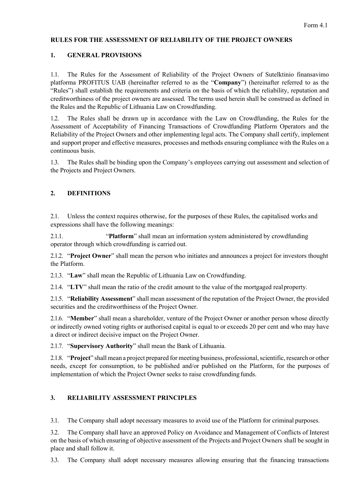### **RULES FOR THE ASSESSMENT OF RELIABILITY OF THE PROJECT OWNERS**

## **1. GENERAL PROVISIONS**

1.1. The Rules for the Assessment of Reliability of the Project Owners of Sutelktinio finansavimo platforma PROFITUS UAB (hereinafter referred to as the "**Company**") (hereinafter referred to as the "Rules") shall establish the requirements and criteria on the basis of which the reliability, reputation and creditworthiness of the project owners are assessed. The terms used herein shall be construed as defined in the Rules and the Republic of Lithuania Law on Crowdfunding.

1.2. The Rules shall be drawn up in accordance with the Law on Crowdfunding, the Rules for the Assessment of Acceptability of Financing Transactions of Crowdfunding Platform Operators and the Reliability of the Project Owners and other implementing legal acts. The Company shall certify, implement and support proper and effective measures, processes and methods ensuring compliance with the Rules on a continuous basis.

1.3. The Rules shall be binding upon the Company's employees carrying out assessment and selection of the Projects and Project Owners.

# **2. DEFINITIONS**

2.1. Unless the context requires otherwise, for the purposes of these Rules, the capitalised works and expressions shall have the following meanings:

2.1.1. "**Platform**" shall mean an information system administered by crowdfunding operator through which crowdfunding is carried out.

2.1.2. "**Project Owner**" shall mean the person who initiates and announces a project for investors thought the Platform.

2.1.3. "**Law**" shall mean the Republic of Lithuania Law on Crowdfunding.

2.1.4. "**LTV**" shall mean the ratio of the credit amount to the value of the mortgaged realproperty.

2.1.5. "**Reliability Assessment**" shall mean assessment of the reputation of the Project Owner, the provided securities and the creditworthiness of the Project Owner.

2.1.6. "**Member**" shall mean a shareholder, venture of the Project Owner or another person whose directly or indirectly owned voting rights or authorised capital is equal to or exceeds 20 per cent and who may have a direct or indirect decisive impact on the Project Owner.

2.1.7. "**Supervisory Authority**" shall mean the Bank of Lithuania.

2.1.8. "Project" shall mean a project prepared for meeting business, professional, scientific, research or other needs, except for consumption, to be published and/or published on the Platform, for the purposes of implementation of which the Project Owner seeks to raise crowdfunding funds.

#### **3. RELIABILITY ASSESSMENT PRINCIPLES**

3.1. The Company shall adopt necessary measures to avoid use of the Platform for criminal purposes.

3.2. The Company shall have an approved Policy on Avoidance and Management of Conflicts of Interest on the basis of which ensuring of objective assessment of the Projects and Project Owners shall be sought in place and shall follow it.

3.3. The Company shall adopt necessary measures allowing ensuring that the financing transactions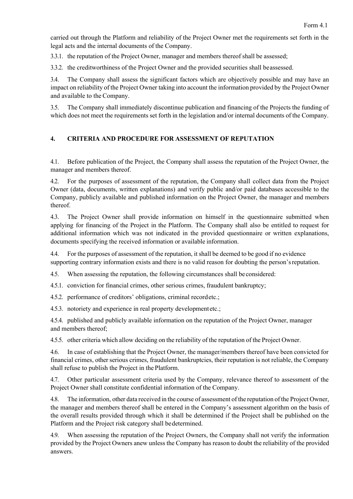carried out through the Platform and reliability of the Project Owner met the requirements set forth in the legal acts and the internal documents of the Company.

3.3.1. the reputation of the Project Owner, manager and members thereof shall be assessed;

3.3.2. the creditworthiness of the Project Owner and the provided securities shall beassessed.

3.4. The Company shall assess the significant factors which are objectively possible and may have an impact on reliability of the Project Owner taking into account the information provided by the Project Owner and available to the Company.

3.5. The Company shall immediately discontinue publication and financing of the Projects the funding of which does not meet the requirements set forth in the legislation and/or internal documents of the Company.

## **4. CRITERIA AND PROCEDURE FOR ASSESSMENT OF REPUTATION**

4.1. Before publication of the Project, the Company shall assess the reputation of the Project Owner, the manager and members thereof.

4.2. For the purposes of assessment of the reputation, the Company shall collect data from the Project Owner (data, documents, written explanations) and verify public and/or paid databases accessible to the Company, publicly available and published information on the Project Owner, the manager and members thereof.

4.3. The Project Owner shall provide information on himself in the questionnaire submitted when applying for financing of the Project in the Platform. The Company shall also be entitled to request for additional information which was not indicated in the provided questionnaire or written explanations, documents specifying the received information or available information.

4.4. For the purposes of assessment of the reputation, itshall be deemed to be good if no evidence supporting contrary information exists and there is no valid reason for doubting the person'sreputation.

4.5. When assessing the reputation, the following circumstances shall be considered:

4.5.1. conviction for financial crimes, other serious crimes, fraudulent bankruptcy;

4.5.2. performance of creditors' obligations, criminal recordetc.;

4.5.3. notoriety and experience in real property developmentetc.;

4.5.4. published and publicly available information on the reputation of the Project Owner, manager and members thereof;

4.5.5. other criteria which allow deciding on the reliability of the reputation of the Project Owner.

4.6. In case of establishing that the Project Owner, the manager/members thereof have been convicted for financial crimes, other serious crimes, fraudulent bankruptcies, their reputation is not reliable, the Company shall refuse to publish the Project in the Platform.

4.7. Other particular assessment criteria used by the Company, relevance thereof to assessment of the Project Owner shall constitute confidential information of the Company.

4.8. The information, other data received in the course of assessment of the reputation ofthe Project Owner, the manager and members thereof shall be entered in the Company's assessment algorithm on the basis of the overall results provided through which it shall be determined if the Project shall be published on the Platform and the Project risk category shall bedetermined.

4.9. When assessing the reputation of the Project Owners, the Company shall not verify the information provided by the Project Owners anew unless the Company has reason to doubt the reliability of the provided answers.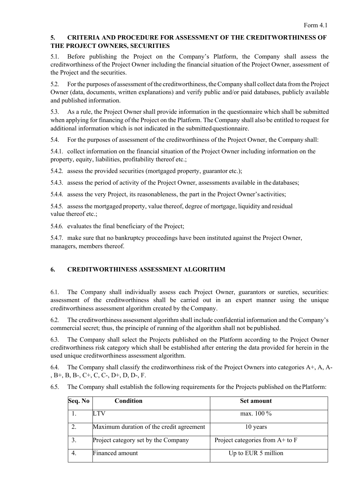## **5. CRITERIA AND PROCEDURE FOR ASSESSMENT OF THE CREDITWORTHINESS OF THE PROJECT OWNERS, SECURITIES**

5.1. Before publishing the Project on the Company's Platform, the Company shall assess the creditworthiness of the Project Owner including the financial situation of the Project Owner, assessment of the Project and the securities.

5.2. For the purposes of assessment ofthe creditworthiness, theCompany shall collect data fromthe Project Owner (data, documents, written explanations) and verify public and/or paid databases, publicly available and published information.

5.3. As a rule, the Project Owner shall provide information in the questionnaire which shall be submitted when applying for financing of the Project on the Platform. The Company shall also be entitled to request for additional information which is not indicated in the submittedquestionnaire.

5.4. For the purposes of assessment of the creditworthiness of the Project Owner, the Company shall:

5.4.1. collect information on the financial situation of the Project Owner including information on the property, equity, liabilities, profitability thereof etc.;

5.4.2. assess the provided securities (mortgaged property, guarantor etc.);

5.4.3. assess the period of activity of the Project Owner, assessments available in the databases;

5.4.4. assess the very Project, its reasonableness, the part in the Project Owner's activities;

5.4.5. assessthe mortgaged property, value thereof, degree of mortgage, liquidity and residual value thereof etc.;

5.4.6. evaluates the final beneficiary of the Project;

5.4.7. make sure that no bankruptcy proceedings have been instituted against the Project Owner, managers, members thereof.

# **6. CREDITWORTHINESS ASSESSMENT ALGORITHM**

6.1. The Company shall individually assess each Project Owner, guarantors or sureties, securities: assessment of the creditworthiness shall be carried out in an expert manner using the unique creditworthiness assessment algorithm created by the Company.

6.2. The creditworthiness assessment algorithm shall include confidential information and the Company's commercial secret; thus, the principle of running of the algorithm shall not be published.

6.3. The Company shall select the Projects published on the Platform according to the Project Owner creditworthiness risk category which shall be established after entering the data provided for herein in the used unique creditworthiness assessment algorithm.

6.4. The Company shall classify the creditworthiness risk of the Project Owners into categories  $A^+, A$ , A-, B+, B, B-, C+, C, C-, D+, D, D-, F.

6.5. The Company shall establish the following requirements for the Projects published on thePlatform:

| Seq. No | Condition                                | <b>Set amount</b>                  |
|---------|------------------------------------------|------------------------------------|
|         |                                          | max. 100 %                         |
|         | Maximum duration of the credit agreement | 10 years                           |
|         | Project category set by the Company      | Project categories from $A$ + to F |
| 4.      | Financed amount                          | Up to EUR 5 million                |